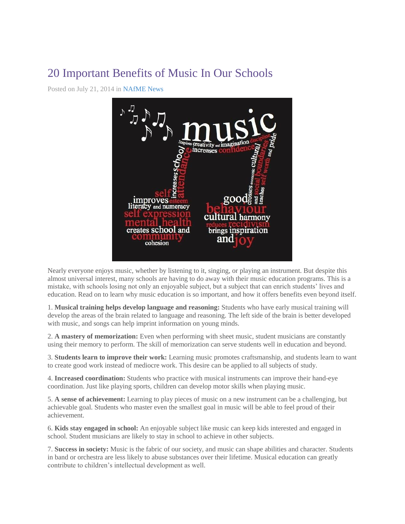## 20 Important Benefits of Music In Our Schools

Posted on July 21, 2014 in [NAfME News](http://www.nafme.org/category/news/)



Nearly everyone enjoys music, whether by listening to it, singing, or playing an instrument. But despite this almost universal interest, many schools are having to do away with their music education programs. This is a mistake, with schools losing not only an enjoyable subject, but a subject that can enrich students' lives and education. Read on to learn why music education is so important, and how it offers benefits even beyond itself.

1. **Musical training helps develop language and reasoning:** Students who have early musical training will develop the areas of the brain related to language and reasoning. The left side of the brain is better developed with music, and songs can help imprint information on young minds.

2. **A mastery of memorization:** Even when performing with sheet music, student musicians are constantly using their memory to perform. The skill of memorization can serve students well in education and beyond.

3. **Students learn to improve their work:** Learning music promotes craftsmanship, and students learn to want to create good work instead of mediocre work. This desire can be applied to all subjects of study.

4. **Increased coordination:** Students who practice with musical instruments can improve their hand-eye coordination. Just like playing sports, children can develop motor skills when playing music.

5. **A sense of achievement:** Learning to play pieces of music on a new instrument can be a challenging, but achievable goal. Students who master even the smallest goal in music will be able to feel proud of their achievement.

6. **Kids stay engaged in school:** An enjoyable subject like music can keep kids interested and engaged in school. Student musicians are likely to stay in school to achieve in other subjects.

7. **Success in society:** Music is the fabric of our society, and music can shape abilities and character. Students in band or orchestra are less likely to abuse substances over their lifetime. Musical education can greatly contribute to children's intellectual development as well.